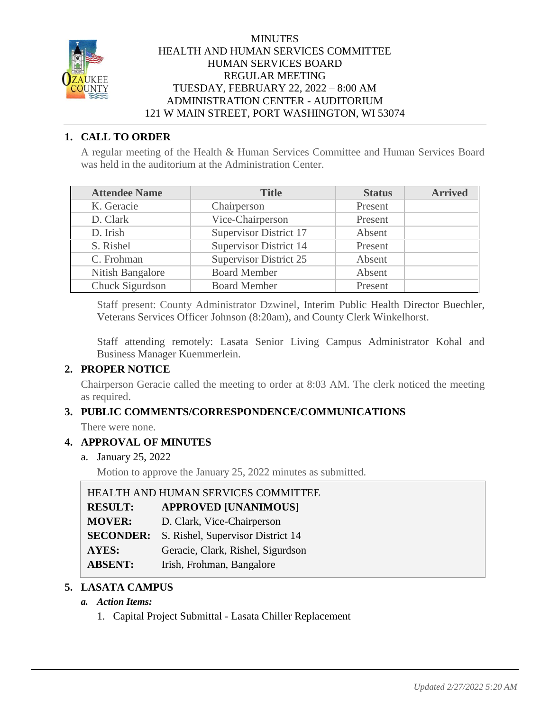

#### **MINUTES** HEALTH AND HUMAN SERVICES COMMITTEE HUMAN SERVICES BOARD REGULAR MEETING TUESDAY, FEBRUARY 22, 2022 – 8:00 AM ADMINISTRATION CENTER - AUDITORIUM 121 W MAIN STREET, PORT WASHINGTON, WI 53074

# **1. CALL TO ORDER**

A regular meeting of the Health & Human Services Committee and Human Services Board was held in the auditorium at the Administration Center.

| <b>Attendee Name</b> | <b>Title</b>                  | <b>Status</b> | <b>Arrived</b> |
|----------------------|-------------------------------|---------------|----------------|
| K. Geracie           | Chairperson                   | Present       |                |
| D. Clark             | Vice-Chairperson              | Present       |                |
| D. Irish             | <b>Supervisor District 17</b> | Absent        |                |
| S. Rishel            | <b>Supervisor District 14</b> | Present       |                |
| C. Frohman           | <b>Supervisor District 25</b> | Absent        |                |
| Nitish Bangalore     | <b>Board Member</b>           | Absent        |                |
| Chuck Sigurdson      | <b>Board Member</b>           | Present       |                |

Staff present: County Administrator Dzwinel, Interim Public Health Director Buechler, Veterans Services Officer Johnson (8:20am), and County Clerk Winkelhorst.

Staff attending remotely: Lasata Senior Living Campus Administrator Kohal and Business Manager Kuemmerlein.

# **2. PROPER NOTICE**

Chairperson Geracie called the meeting to order at 8:03 AM. The clerk noticed the meeting as required.

# **3. PUBLIC COMMENTS/CORRESPONDENCE/COMMUNICATIONS**

There were none.

# **4. APPROVAL OF MINUTES**

a. January 25, 2022

Motion to approve the January 25, 2022 minutes as submitted.

| HEALTH AND HUMAN SERVICES COMMITTEE |                                   |  |
|-------------------------------------|-----------------------------------|--|
| <b>RESULT:</b>                      | <b>APPROVED [UNANIMOUS]</b>       |  |
| <b>MOVER:</b>                       | D. Clark, Vice-Chairperson        |  |
| <b>SECONDER:</b>                    | S. Rishel, Supervisor District 14 |  |
| <b>AYES:</b>                        | Geracie, Clark, Rishel, Sigurdson |  |
| <b>ABSENT:</b>                      | Irish, Frohman, Bangalore         |  |

# **5. LASATA CAMPUS**

# *a. Action Items:*

1. Capital Project Submittal - Lasata Chiller Replacement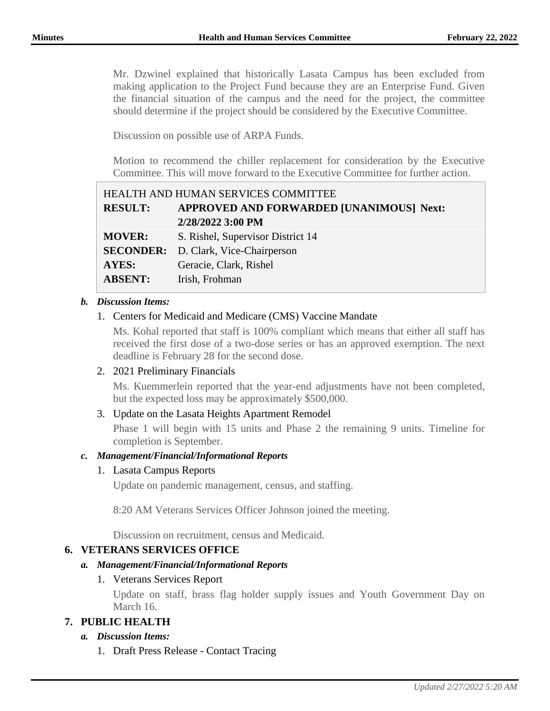Mr. Dzwinel explained that historically Lasata Campus has been excluded from making application to the Project Fund because they are an Enterprise Fund. Given the financial situation of the campus and the need for the project, the committee should determine if the project should be considered by the Executive Committee.

Discussion on possible use of ARPA Funds.

Motion to recommend the chiller replacement for consideration by the Executive Committee. This will move forward to the Executive Committee for further action.

# HEALTH AND HUMAN SERVICES COMMITTEE **RESULT: APPROVED AND FORWARDED [UNANIMOUS] Next: 2/28/2022 3:00 PM MOVER:** S. Rishel, Supervisor District 14 **SECONDER:** D. Clark, Vice-Chairperson **AYES:** Geracie, Clark, Rishel **ABSENT:** Irish, Frohman

#### *b. Discussion Items:*

#### 1. Centers for Medicaid and Medicare (CMS) Vaccine Mandate

Ms. Kohal reported that staff is 100% compliant which means that either all staff has received the first dose of a two-dose series or has an approved exemption. The next deadline is February 28 for the second dose.

# 2. 2021 Preliminary Financials

Ms. Kuemmerlein reported that the year-end adjustments have not been completed, but the expected loss may be approximately \$500,000.

# 3. Update on the Lasata Heights Apartment Remodel

Phase 1 will begin with 15 units and Phase 2 the remaining 9 units. Timeline for completion is September.

#### *c. Management/Financial/Informational Reports*

#### 1. Lasata Campus Reports

Update on pandemic management, census, and staffing.

8:20 AM Veterans Services Officer Johnson joined the meeting.

Discussion on recruitment, census and Medicaid.

# **6. VETERANS SERVICES OFFICE**

# *a. Management/Financial/Informational Reports*

#### 1. Veterans Services Report

Update on staff, brass flag holder supply issues and Youth Government Day on March 16.

# **7. PUBLIC HEALTH**

#### *a. Discussion Items:*

1. Draft Press Release - Contact Tracing